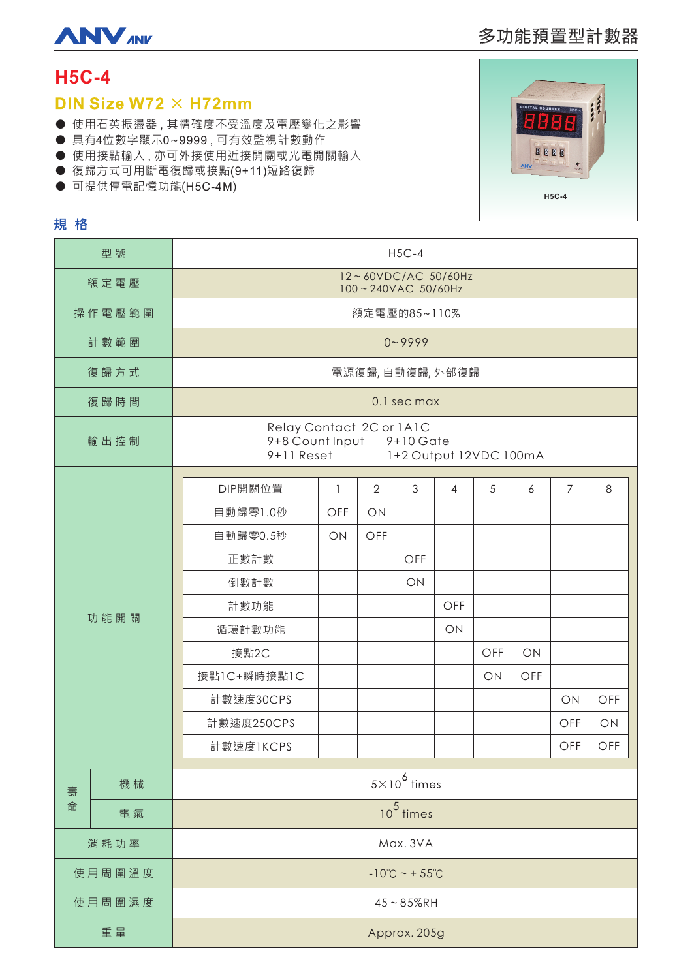

# 多功能預置型計數器

# **H5C-4**

### DIN Size W72  $\times$  H72mm

- 使用石英振盪器,其精確度不受溫度及電壓變化之影響
- 具有4位數字顯示0~9999,可有效監視計數動作
- 使用接點輸入,亦可外接使用近接開關或光電開關輸入
- 復歸方式可用斷電復歸或接點(9+11)短路復歸
- 可提供停電記憶功能(H5C-4M)



### 規格

| 型號     |    | $H5C-4$                                                                                              |              |                |     |                |     |     |     |     |  |
|--------|----|------------------------------------------------------------------------------------------------------|--------------|----------------|-----|----------------|-----|-----|-----|-----|--|
| 額定電壓   |    | 12~60VDC/AC 50/60Hz<br>100~240VAC 50/60Hz                                                            |              |                |     |                |     |     |     |     |  |
| 操作電壓範圍 |    | 額定電壓的85~110%                                                                                         |              |                |     |                |     |     |     |     |  |
| 計數範圍   |    | $0 - 9999$                                                                                           |              |                |     |                |     |     |     |     |  |
| 復歸方式   |    | 電源復歸,自動復歸,外部復歸                                                                                       |              |                |     |                |     |     |     |     |  |
| 復歸時間   |    | 0.1 sec max                                                                                          |              |                |     |                |     |     |     |     |  |
| 輸出控制   |    | Relay Contact 2C or 1A1C<br>9+8 Count Input<br>$9+10$ Gate<br>$9+11$ Reset<br>1+2 Output 12VDC 100mA |              |                |     |                |     |     |     |     |  |
| 功能開關   |    | DIP開關位置                                                                                              | $\mathbf{1}$ | $\overline{2}$ | 3   | $\overline{4}$ | 5   | 6   | 7   | 8   |  |
|        |    | 自動歸零1.0秒                                                                                             | OFF          | ON             |     |                |     |     |     |     |  |
|        |    | 自動歸零0.5秒                                                                                             | ON           | OFF            |     |                |     |     |     |     |  |
|        |    | 正數計數                                                                                                 |              |                | OFF |                |     |     |     |     |  |
|        |    | 倒數計數                                                                                                 |              |                | ON  |                |     |     |     |     |  |
|        |    | 計數功能                                                                                                 |              |                |     | OFF            |     |     |     |     |  |
|        |    | 循環計數功能                                                                                               |              |                |     | ON             |     |     |     |     |  |
|        |    | 接點2C                                                                                                 |              |                |     |                | OFF | ON  |     |     |  |
|        |    | 接點1C+瞬時接點1C                                                                                          |              |                |     |                | ON  | OFF |     |     |  |
|        |    | 計數速度30CPS                                                                                            |              |                |     |                |     |     | ON  | OFF |  |
|        |    | 計數速度250CPS                                                                                           |              |                |     |                |     |     | OFF | ON  |  |
|        |    | 計數速度1KCPS                                                                                            |              |                |     |                |     |     | OFF | OFF |  |
| 壽<br>命 | 機械 | $5\times10^6$ times                                                                                  |              |                |     |                |     |     |     |     |  |
|        | 電氣 | $\overline{10^5}$ times                                                                              |              |                |     |                |     |     |     |     |  |
| 消耗功率   |    | Max. 3VA                                                                                             |              |                |     |                |     |     |     |     |  |
| 使用周圍溫度 |    | $-10^{\circ}C - 55^{\circ}C$                                                                         |              |                |     |                |     |     |     |     |  |
| 使用周圍濕度 |    | $45 - 85%$ RH                                                                                        |              |                |     |                |     |     |     |     |  |
| 重量     |    | Approx. 205g                                                                                         |              |                |     |                |     |     |     |     |  |